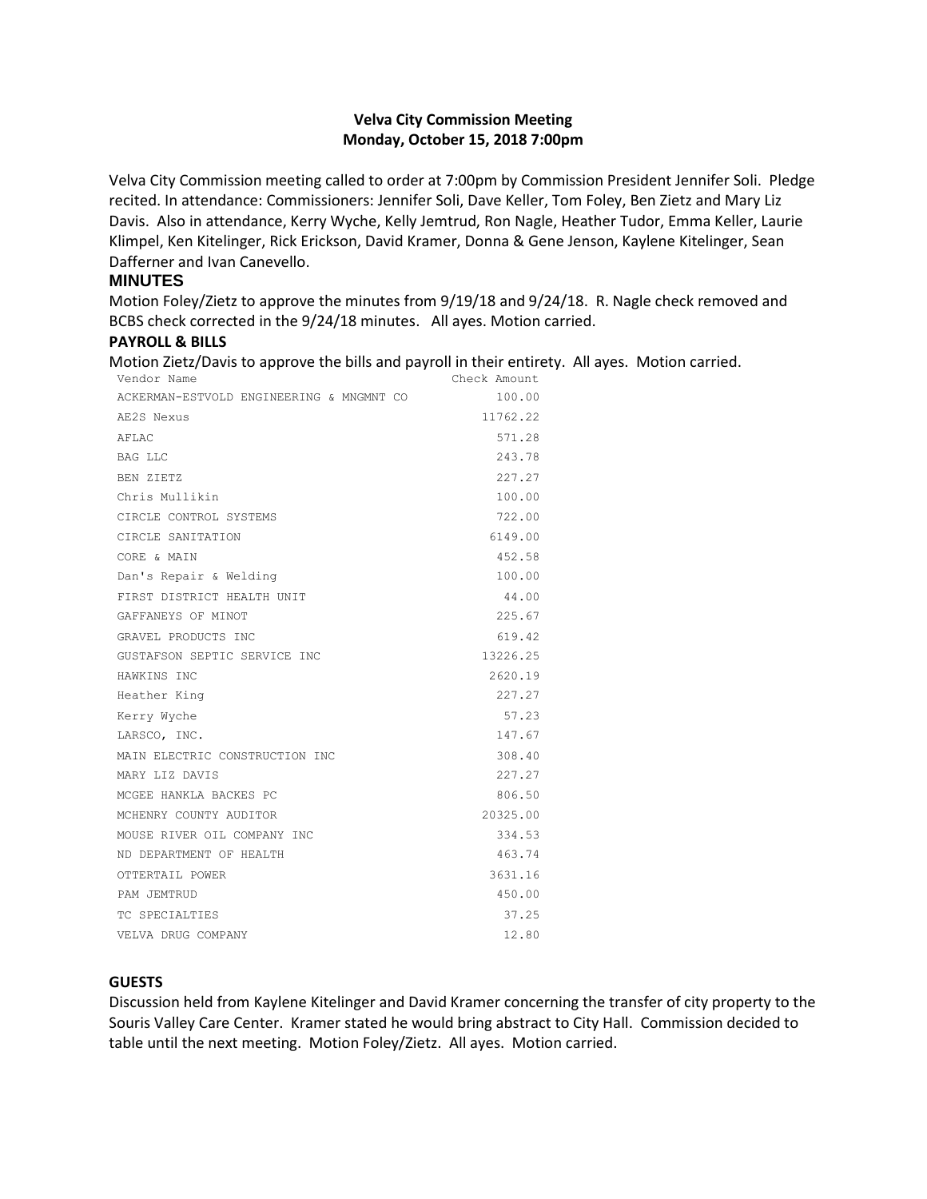### **Velva City Commission Meeting Monday, October 15, 2018 7:00pm**

Velva City Commission meeting called to order at 7:00pm by Commission President Jennifer Soli. Pledge recited. In attendance: Commissioners: Jennifer Soli, Dave Keller, Tom Foley, Ben Zietz and Mary Liz Davis. Also in attendance, Kerry Wyche, Kelly Jemtrud, Ron Nagle, Heather Tudor, Emma Keller, Laurie Klimpel, Ken Kitelinger, Rick Erickson, David Kramer, Donna & Gene Jenson, Kaylene Kitelinger, Sean Dafferner and Ivan Canevello.

### **MINUTES**

Motion Foley/Zietz to approve the minutes from 9/19/18 and 9/24/18. R. Nagle check removed and BCBS check corrected in the 9/24/18 minutes. All ayes. Motion carried.

#### **PAYROLL & BILLS**

Motion Zietz/Davis to approve the bills and payroll in their entirety. All ayes. Motion carried.

| Vendor Name                              | Check Amount |
|------------------------------------------|--------------|
| ACKERMAN-ESTVOLD ENGINEERING & MNGMNT CO | 100.00       |
| AE2S Nexus                               | 11762.22     |
| AFLAC                                    | 571.28       |
| <b>BAG LLC</b>                           | 243.78       |
| BEN ZIETZ                                | 227.27       |
| Chris Mullikin                           | 100.00       |
| CIRCLE CONTROL SYSTEMS                   | 722.00       |
| CIRCLE SANITATION                        | 6149.00      |
| CORE & MAIN                              | 452.58       |
| Dan's Repair & Welding                   | 100.00       |
| FIRST DISTRICT HEALTH UNIT               | 44.00        |
| GAFFANEYS OF MINOT                       | 225.67       |
| GRAVEL PRODUCTS INC                      | 619.42       |
| GUSTAFSON SEPTIC SERVICE INC             | 13226.25     |
| HAWKINS INC                              | 2620.19      |
| Heather King                             | 227.27       |
| Kerry Wyche                              | 57.23        |
| LARSCO, INC.                             | 147.67       |
| MAIN ELECTRIC CONSTRUCTION INC           | 308.40       |
| MARY LIZ DAVIS                           | 227.27       |
| MCGEE HANKLA BACKES PC                   | 806.50       |
| MCHENRY COUNTY AUDITOR                   | 20325.00     |
| MOUSE RIVER OIL COMPANY INC              | 334.53       |
| ND DEPARTMENT OF HEALTH                  | 463.74       |
| OTTERTAIL POWER                          | 3631.16      |
| PAM JEMTRUD                              | 450.00       |
| TC SPECIALTIES                           | 37.25        |
| VELVA DRUG COMPANY                       | 12.80        |

#### **GUESTS**

Discussion held from Kaylene Kitelinger and David Kramer concerning the transfer of city property to the Souris Valley Care Center. Kramer stated he would bring abstract to City Hall. Commission decided to table until the next meeting. Motion Foley/Zietz. All ayes. Motion carried.